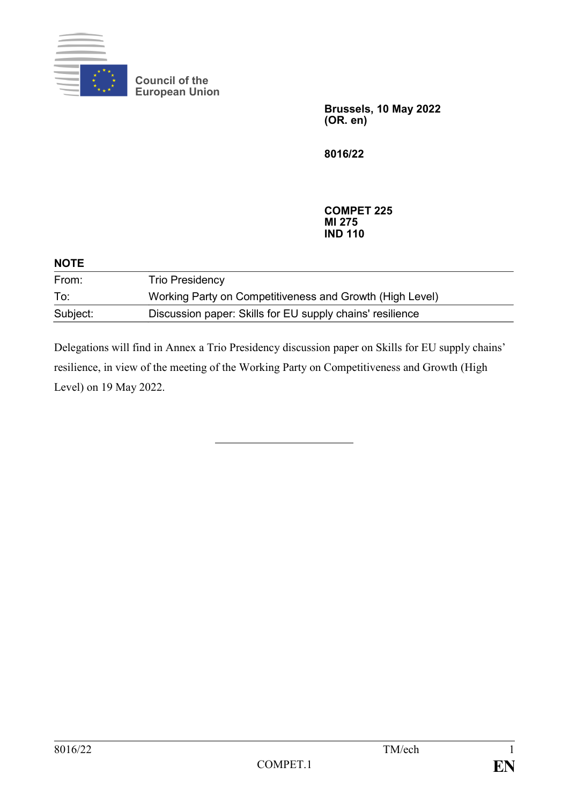

**Council of the European Union**

> **Brussels, 10 May 2022 (OR. en)**

**8016/22**

**COMPET 225 MI 275 IND 110**

| <b>NOTE</b> |                                                           |  |
|-------------|-----------------------------------------------------------|--|
| From:       | <b>Trio Presidency</b>                                    |  |
| To:         | Working Party on Competitiveness and Growth (High Level)  |  |
| Subject:    | Discussion paper: Skills for EU supply chains' resilience |  |

Delegations will find in Annex a Trio Presidency discussion paper on Skills for EU supply chains' resilience, in view of the meeting of the Working Party on Competitiveness and Growth (High Level) on 19 May 2022.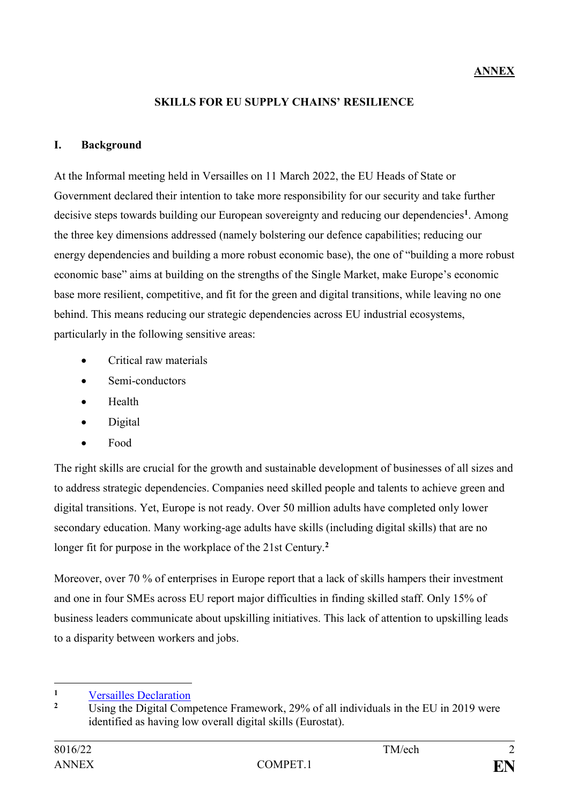# **SKILLS FOR EU SUPPLY CHAINS' RESILIENCE**

## **I. Background**

At the Informal meeting held in Versailles on 11 March 2022, the EU Heads of State or Government declared their intention to take more responsibility for our security and take further decisive steps towards building our European sovereignty and reducing our dependencies**<sup>1</sup>** . Among the three key dimensions addressed (namely bolstering our defence capabilities; reducing our energy dependencies and building a more robust economic base), the one of "building a more robust economic base" aims at building on the strengths of the Single Market, make Europe's economic base more resilient, competitive, and fit for the green and digital transitions, while leaving no one behind. This means reducing our strategic dependencies across EU industrial ecosystems, particularly in the following sensitive areas:

- Critical raw materials
- Semi-conductors
- Health
- Digital
- Food

The right skills are crucial for the growth and sustainable development of businesses of all sizes and to address strategic dependencies. Companies need skilled people and talents to achieve green and digital transitions. Yet, Europe is not ready. Over 50 million adults have completed only lower secondary education. Many working-age adults have skills (including digital skills) that are no longer fit for purpose in the workplace of the 21st Century.**<sup>2</sup>**

Moreover, over 70 % of enterprises in Europe report that a lack of skills hampers their investment and one in four SMEs across EU report major difficulties in finding skilled staff. Only 15% of business leaders communicate about upskilling initiatives. This lack of attention to upskilling leads to a disparity between workers and jobs.

1

<sup>&</sup>lt;sup>1</sup> [Versailles Declaration](https://www.consilium.europa.eu/media/54773/20220311-versailles-declaration-en.pdf)

**<sup>2</sup>** Using the Digital Competence Framework, 29% of all individuals in the EU in 2019 were identified as having low overall digital skills (Eurostat).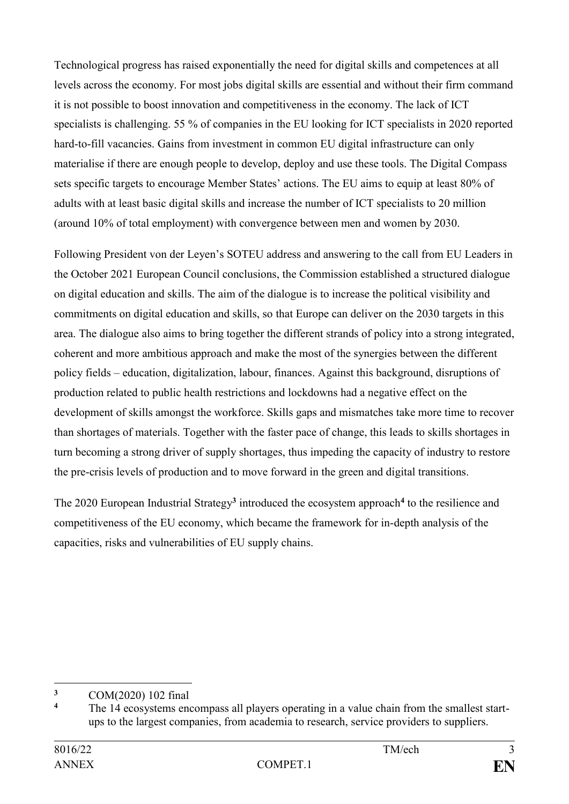Technological progress has raised exponentially the need for digital skills and competences at all levels across the economy. For most jobs digital skills are essential and without their firm command it is not possible to boost innovation and competitiveness in the economy. The lack of ICT specialists is challenging. 55 % of companies in the EU looking for ICT specialists in 2020 reported hard-to-fill vacancies. Gains from investment in common EU digital infrastructure can only materialise if there are enough people to develop, deploy and use these tools. The Digital Compass sets specific targets to encourage Member States' actions. The EU aims to equip at least 80% of adults with at least basic digital skills and increase the number of ICT specialists to 20 million (around 10% of total employment) with convergence between men and women by 2030.

Following President von der Leyen's SOTEU address and answering to the call from EU Leaders in the October 2021 European Council conclusions, the Commission established a structured dialogue on digital education and skills. The aim of the dialogue is to increase the political visibility and commitments on digital education and skills, so that Europe can deliver on the 2030 targets in this area. The dialogue also aims to bring together the different strands of policy into a strong integrated, coherent and more ambitious approach and make the most of the synergies between the different policy fields – education, digitalization, labour, finances. Against this background, disruptions of production related to public health restrictions and lockdowns had a negative effect on the development of skills amongst the workforce. Skills gaps and mismatches take more time to recover than shortages of materials. Together with the faster pace of change, this leads to skills shortages in turn becoming a strong driver of supply shortages, thus impeding the capacity of industry to restore the pre-crisis levels of production and to move forward in the green and digital transitions.

The 2020 European Industrial Strategy**<sup>3</sup>** introduced the ecosystem approach**<sup>4</sup>** to the resilience and competitiveness of the EU economy, which became the framework for in-depth analysis of the capacities, risks and vulnerabilities of EU supply chains.

<sup>1</sup>  $\frac{3}{4}$  COM(2020) 102 final

**<sup>4</sup>** The 14 ecosystems encompass all players operating in a value chain from the smallest startups to the largest companies, from academia to research, service providers to suppliers.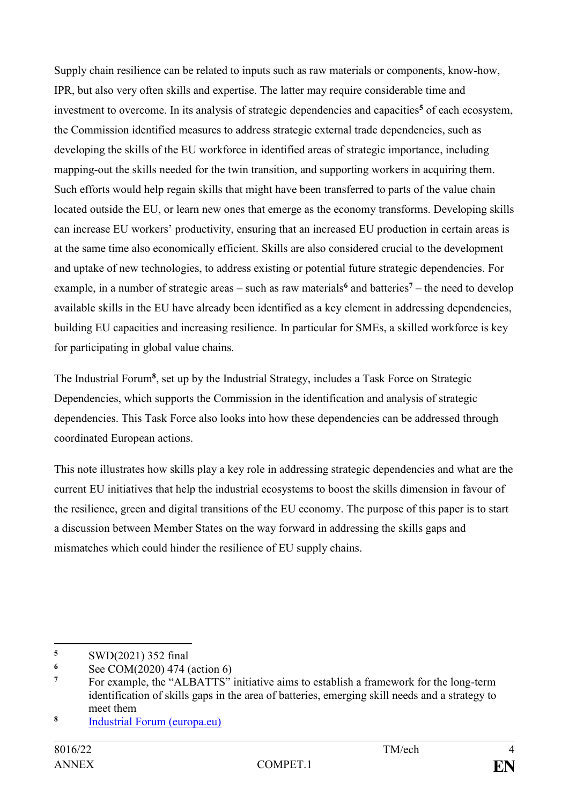Supply chain resilience can be related to inputs such as raw materials or components, know-how, IPR, but also very often skills and expertise. The latter may require considerable time and investment to overcome. In its analysis of strategic dependencies and capacities**<sup>5</sup>** of each ecosystem, the Commission identified measures to address strategic external trade dependencies, such as developing the skills of the EU workforce in identified areas of strategic importance, including mapping-out the skills needed for the twin transition, and supporting workers in acquiring them. Such efforts would help regain skills that might have been transferred to parts of the value chain located outside the EU, or learn new ones that emerge as the economy transforms. Developing skills can increase EU workers' productivity, ensuring that an increased EU production in certain areas is at the same time also economically efficient. Skills are also considered crucial to the development and uptake of new technologies, to address existing or potential future strategic dependencies. For example, in a number of strategic areas – such as raw materials**<sup>6</sup>** and batteries**<sup>7</sup>** – the need to develop available skills in the EU have already been identified as a key element in addressing dependencies, building EU capacities and increasing resilience. In particular for SMEs, a skilled workforce is key for participating in global value chains.

The Industrial Forum<sup>8</sup>, set up by the Industrial Strategy, includes a Task Force on Strategic Dependencies, which supports the Commission in the identification and analysis of strategic dependencies. This Task Force also looks into how these dependencies can be addressed through coordinated European actions.

This note illustrates how skills play a key role in addressing strategic dependencies and what are the current EU initiatives that help the industrial ecosystems to boost the skills dimension in favour of the resilience, green and digital transitions of the EU economy. The purpose of this paper is to start a discussion between Member States on the way forward in addressing the skills gaps and mismatches which could hinder the resilience of EU supply chains.

 $\overline{\mathbf{5}}$ **<sup>5</sup>** SWD(2021) 352 final

 $\frac{6}{7}$  See COM(2020) 474 (action 6)

**<sup>7</sup>** For example, the "ALBATTS" initiative aims to establish a framework for the long-term identification of skills gaps in the area of batteries, emerging skill needs and a strategy to meet them

**<sup>8</sup>** [Industrial Forum \(europa.eu\)](https://ec.europa.eu/growth/industry/strategy/industrial-policy-dialogue-and-expert-advice_en)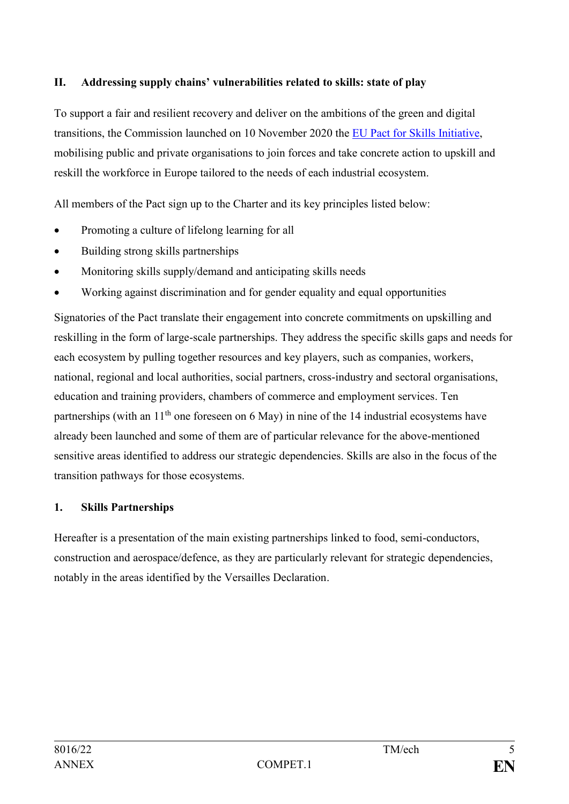# **II. Addressing supply chains' vulnerabilities related to skills: state of play**

To support a fair and resilient recovery and deliver on the ambitions of the green and digital transitions, the Commission launched on 10 November 2020 the [EU Pact for Skills Initiative,](https://ec.europa.eu/social/main.jsp?catId=1517&langId=en) mobilising public and private organisations to join forces and take concrete action to upskill and reskill the workforce in Europe tailored to the needs of each industrial ecosystem.

All members of the Pact sign up to the Charter and its key principles listed below:

- Promoting a culture of lifelong learning for all
- Building strong skills partnerships
- Monitoring skills supply/demand and anticipating skills needs
- Working against discrimination and for gender equality and equal opportunities

Signatories of the Pact translate their engagement into concrete commitments on upskilling and reskilling in the form of large-scale partnerships. They address the specific skills gaps and needs for each ecosystem by pulling together resources and key players, such as companies, workers, national, regional and local authorities, social partners, cross-industry and sectoral organisations, education and training providers, chambers of commerce and employment services. Ten partnerships (with an 11<sup>th</sup> one foreseen on 6 May) in nine of the 14 industrial ecosystems have already been launched and some of them are of particular relevance for the above-mentioned sensitive areas identified to address our strategic dependencies. Skills are also in the focus of the transition pathways for those ecosystems.

## **1. Skills Partnerships**

Hereafter is a presentation of the main existing partnerships linked to food, semi-conductors, construction and aerospace/defence, as they are particularly relevant for strategic dependencies, notably in the areas identified by the Versailles Declaration.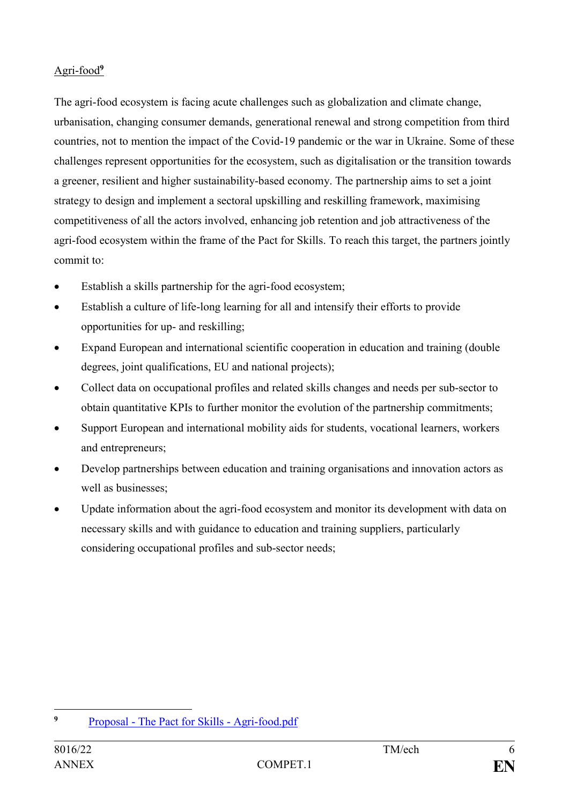# Agri-food**<sup>9</sup>**

The agri-food ecosystem is facing acute challenges such as globalization and climate change, urbanisation, changing consumer demands, generational renewal and strong competition from third countries, not to mention the impact of the Covid-19 pandemic or the war in Ukraine. Some of these challenges represent opportunities for the ecosystem, such as digitalisation or the transition towards a greener, resilient and higher sustainability-based economy. The partnership aims to set a joint strategy to design and implement a sectoral upskilling and reskilling framework, maximising competitiveness of all the actors involved, enhancing job retention and job attractiveness of the agri-food ecosystem within the frame of the Pact for Skills. To reach this target, the partners jointly commit to:

- Establish a skills partnership for the agri-food ecosystem;
- Establish a culture of life-long learning for all and intensify their efforts to provide opportunities for up- and reskilling;
- Expand European and international scientific cooperation in education and training (double degrees, joint qualifications, EU and national projects);
- Collect data on occupational profiles and related skills changes and needs per sub-sector to obtain quantitative KPIs to further monitor the evolution of the partnership commitments;
- Support European and international mobility aids for students, vocational learners, workers and entrepreneurs;
- Develop partnerships between education and training organisations and innovation actors as well as businesses;
- Update information about the agri-food ecosystem and monitor its development with data on necessary skills and with guidance to education and training suppliers, particularly considering occupational profiles and sub-sector needs;

 $\overline{9}$ **<sup>9</sup>** Proposal - [The Pact for Skills -](https://ec.europa.eu/social/BlobServlet?docId=25257&langId=en) Agri-food.pdf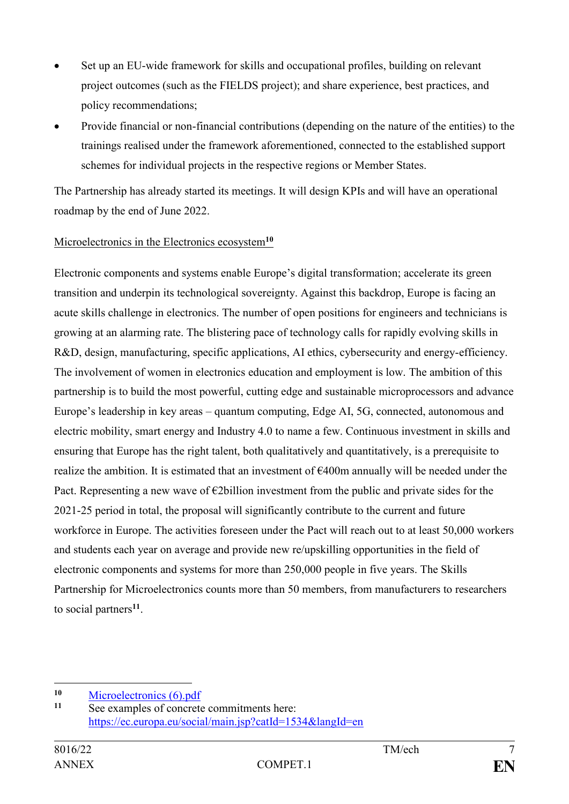- Set up an EU-wide framework for skills and occupational profiles, building on relevant project outcomes (such as the FIELDS project); and share experience, best practices, and policy recommendations;
- Provide financial or non-financial contributions (depending on the nature of the entities) to the trainings realised under the framework aforementioned, connected to the established support schemes for individual projects in the respective regions or Member States.

The Partnership has already started its meetings. It will design KPIs and will have an operational roadmap by the end of June 2022.

## Microelectronics in the Electronics ecosystem**<sup>10</sup>**

Electronic components and systems enable Europe's digital transformation; accelerate its green transition and underpin its technological sovereignty. Against this backdrop, Europe is facing an acute skills challenge in electronics. The number of open positions for engineers and technicians is growing at an alarming rate. The blistering pace of technology calls for rapidly evolving skills in R&D, design, manufacturing, specific applications, AI ethics, cybersecurity and energy-efficiency. The involvement of women in electronics education and employment is low. The ambition of this partnership is to build the most powerful, cutting edge and sustainable microprocessors and advance Europe's leadership in key areas – quantum computing, Edge AI, 5G, connected, autonomous and electric mobility, smart energy and Industry 4.0 to name a few. Continuous investment in skills and ensuring that Europe has the right talent, both qualitatively and quantitatively, is a prerequisite to realize the ambition. It is estimated that an investment of €400m annually will be needed under the Pact. Representing a new wave of  $\epsilon$ 2billion investment from the public and private sides for the 2021-25 period in total, the proposal will significantly contribute to the current and future workforce in Europe. The activities foreseen under the Pact will reach out to at least 50,000 workers and students each year on average and provide new re/upskilling opportunities in the field of electronic components and systems for more than 250,000 people in five years. The Skills Partnership for Microelectronics counts more than 50 members, from manufacturers to researchers to social partners**<sup>11</sup>** .

1

<sup>&</sup>lt;sup>10</sup> [Microelectronics \(6\).pdf](https://ec.europa.eu/social/BlobServlet?docId=23222&langId=en)<br><sup>11</sup> See examples of concrete

See examples of concrete commitments here: <https://ec.europa.eu/social/main.jsp?catId=1534&langId=en>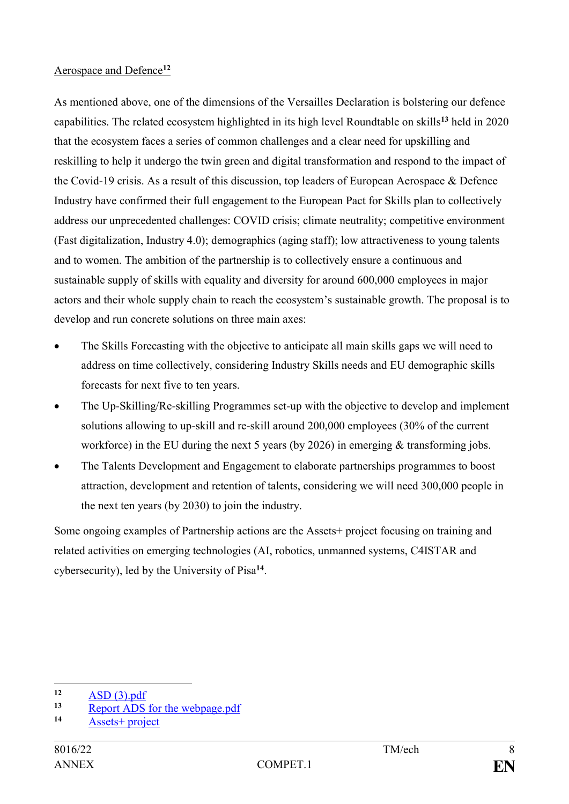#### Aerospace and Defence**<sup>12</sup>**

As mentioned above, one of the dimensions of the Versailles Declaration is bolstering our defence capabilities. The related ecosystem highlighted in its high level Roundtable on skills**<sup>13</sup>** held in 2020 that the ecosystem faces a series of common challenges and a clear need for upskilling and reskilling to help it undergo the twin green and digital transformation and respond to the impact of the Covid-19 crisis. As a result of this discussion, top leaders of European Aerospace & Defence Industry have confirmed their full engagement to the European Pact for Skills plan to collectively address our unprecedented challenges: COVID crisis; climate neutrality; competitive environment (Fast digitalization, Industry 4.0); demographics (aging staff); low attractiveness to young talents and to women. The ambition of the partnership is to collectively ensure a continuous and sustainable supply of skills with equality and diversity for around 600,000 employees in major actors and their whole supply chain to reach the ecosystem's sustainable growth. The proposal is to develop and run concrete solutions on three main axes:

- The Skills Forecasting with the objective to anticipate all main skills gaps we will need to address on time collectively, considering Industry Skills needs and EU demographic skills forecasts for next five to ten years.
- The Up-Skilling/Re-skilling Programmes set-up with the objective to develop and implement solutions allowing to up-skill and re-skill around 200,000 employees (30% of the current workforce) in the EU during the next 5 years (by 2026) in emerging & transforming jobs.
- The Talents Development and Engagement to elaborate partnerships programmes to boost attraction, development and retention of talents, considering we will need 300,000 people in the next ten years (by 2030) to join the industry.

Some ongoing examples of Partnership actions are the Assets+ project focusing on training and related activities on emerging technologies (AI, robotics, unmanned systems, C4ISTAR and cybersecurity), led by the University of Pisa**<sup>14</sup>** .

1

 $\frac{12}{13}$  [ASD \(3\).pdf](https://ec.europa.eu/social/BlobServlet?docId=23220&langId=en)

<sup>13</sup> [Report ADS for the webpage.pdf](https://ec.europa.eu/social/BlobServlet?docId=23223&langId=en)<br>14 Assets **Property** 

**<sup>14</sup>** [Assets+ project](https://assets-plus.eu/)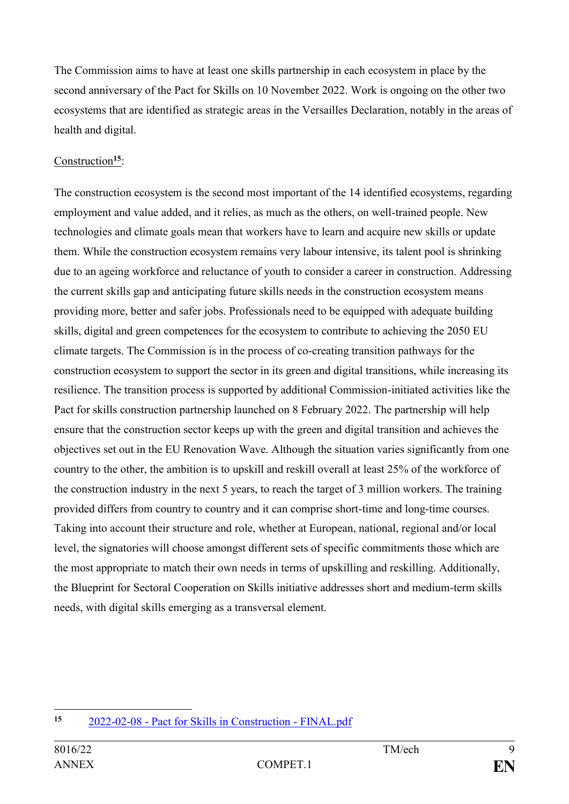The Commission aims to have at least one skills partnership in each ecosystem in place by the second anniversary of the Pact for Skills on 10 November 2022. Work is ongoing on the other two ecosystems that are identified as strategic areas in the Versailles Declaration, notably in the areas of health and digital.

# Construction**<sup>15</sup>**:

The construction ecosystem is the second most important of the 14 identified ecosystems, regarding employment and value added, and it relies, as much as the others, on well-trained people. New technologies and climate goals mean that workers have to learn and acquire new skills or update them. While the construction ecosystem remains very labour intensive, its talent pool is shrinking due to an ageing workforce and reluctance of youth to consider a career in construction. Addressing the current skills gap and anticipating future skills needs in the construction ecosystem means providing more, better and safer jobs. Professionals need to be equipped with adequate building skills, digital and green competences for the ecosystem to contribute to achieving the 2050 EU climate targets. The Commission is in the process of co-creating transition pathways for the construction ecosystem to support the sector in its green and digital transitions, while increasing its resilience. The transition process is supported by additional Commission-initiated activities like the Pact for skills construction partnership launched on 8 February 2022. The partnership will help ensure that the construction sector keeps up with the green and digital transition and achieves the objectives set out in the EU Renovation Wave. Although the situation varies significantly from one country to the other, the ambition is to upskill and reskill overall at least 25% of the workforce of the construction industry in the next 5 years, to reach the target of 3 million workers. The training provided differs from country to country and it can comprise short-time and long-time courses. Taking into account their structure and role, whether at European, national, regional and/or local level, the signatories will choose amongst different sets of specific commitments those which are the most appropriate to match their own needs in terms of upskilling and reskilling. Additionally, the Blueprint for Sectoral Cooperation on Skills initiative addresses short and medium-term skills needs, with digital skills emerging as a transversal element.

 $15$ **<sup>15</sup>** 2022-02-08 - [Pact for Skills in Construction -](file:///C:/Users/santdan/Downloads/2022-02-08%20-%20Pact%20for%20Skills%20in%20Construction%20-%20FINAL.pdf) FINAL.pdf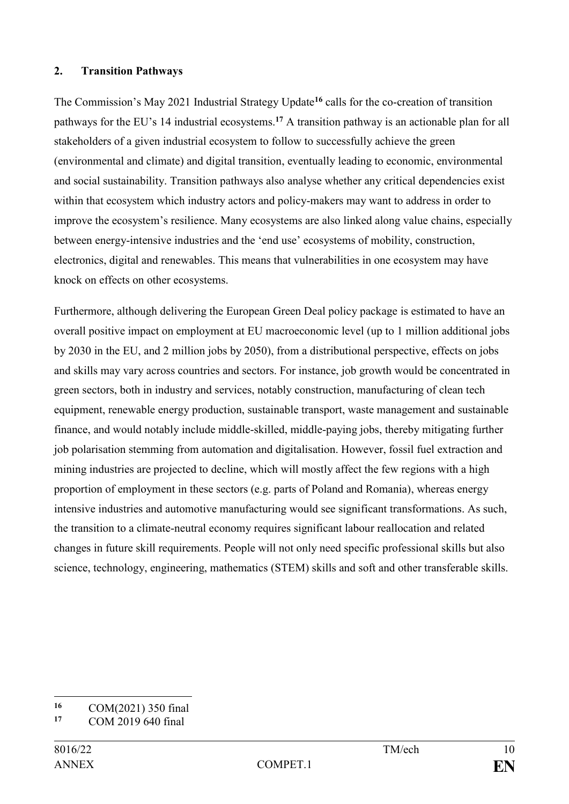#### **2. Transition Pathways**

The Commission's May 2021 Industrial Strategy Update**<sup>16</sup>** calls for the co-creation of transition pathways for the EU's 14 industrial ecosystems.**<sup>17</sup>** A transition pathway is an actionable plan for all stakeholders of a given industrial ecosystem to follow to successfully achieve the green (environmental and climate) and digital transition, eventually leading to economic, environmental and social sustainability. Transition pathways also analyse whether any critical dependencies exist within that ecosystem which industry actors and policy-makers may want to address in order to improve the ecosystem's resilience. Many ecosystems are also linked along value chains, especially between energy-intensive industries and the 'end use' ecosystems of mobility, construction, electronics, digital and renewables. This means that vulnerabilities in one ecosystem may have knock on effects on other ecosystems.

Furthermore, although delivering the European Green Deal policy package is estimated to have an overall positive impact on employment at EU macroeconomic level (up to 1 million additional jobs by 2030 in the EU, and 2 million jobs by 2050), from a distributional perspective, effects on jobs and skills may vary across countries and sectors. For instance, job growth would be concentrated in green sectors, both in industry and services, notably construction, manufacturing of clean tech equipment, renewable energy production, sustainable transport, waste management and sustainable finance, and would notably include middle-skilled, middle-paying jobs, thereby mitigating further job polarisation stemming from automation and digitalisation. However, fossil fuel extraction and mining industries are projected to decline, which will mostly affect the few regions with a high proportion of employment in these sectors (e.g. parts of Poland and Romania), whereas energy intensive industries and automotive manufacturing would see significant transformations. As such, the transition to a climate-neutral economy requires significant labour reallocation and related changes in future skill requirements. People will not only need specific professional skills but also science, technology, engineering, mathematics (STEM) skills and soft and other transferable skills.

 $16$ 16 COM(2021) 350 final<br>17 COM 2010 640 final

**<sup>17</sup>** COM 2019 640 final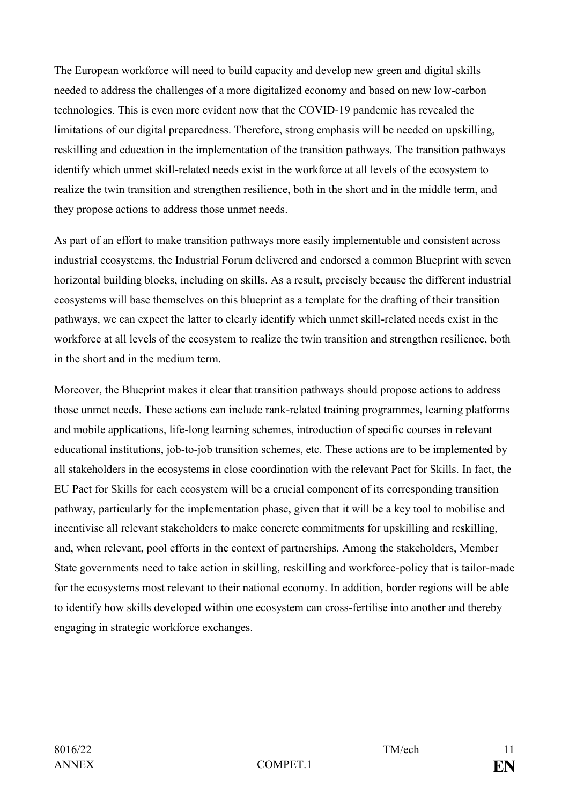The European workforce will need to build capacity and develop new green and digital skills needed to address the challenges of a more digitalized economy and based on new low-carbon technologies. This is even more evident now that the COVID-19 pandemic has revealed the limitations of our digital preparedness. Therefore, strong emphasis will be needed on upskilling, reskilling and education in the implementation of the transition pathways. The transition pathways identify which unmet skill-related needs exist in the workforce at all levels of the ecosystem to realize the twin transition and strengthen resilience, both in the short and in the middle term, and they propose actions to address those unmet needs.

As part of an effort to make transition pathways more easily implementable and consistent across industrial ecosystems, the Industrial Forum delivered and endorsed a common Blueprint with seven horizontal building blocks, including on skills. As a result, precisely because the different industrial ecosystems will base themselves on this blueprint as a template for the drafting of their transition pathways, we can expect the latter to clearly identify which unmet skill-related needs exist in the workforce at all levels of the ecosystem to realize the twin transition and strengthen resilience, both in the short and in the medium term.

Moreover, the Blueprint makes it clear that transition pathways should propose actions to address those unmet needs. These actions can include rank-related training programmes, learning platforms and mobile applications, life-long learning schemes, introduction of specific courses in relevant educational institutions, job-to-job transition schemes, etc. These actions are to be implemented by all stakeholders in the ecosystems in close coordination with the relevant Pact for Skills. In fact, the EU Pact for Skills for each ecosystem will be a crucial component of its corresponding transition pathway, particularly for the implementation phase, given that it will be a key tool to mobilise and incentivise all relevant stakeholders to make concrete commitments for upskilling and reskilling, and, when relevant, pool efforts in the context of partnerships. Among the stakeholders, Member State governments need to take action in skilling, reskilling and workforce-policy that is tailor-made for the ecosystems most relevant to their national economy. In addition, border regions will be able to identify how skills developed within one ecosystem can cross-fertilise into another and thereby engaging in strategic workforce exchanges.